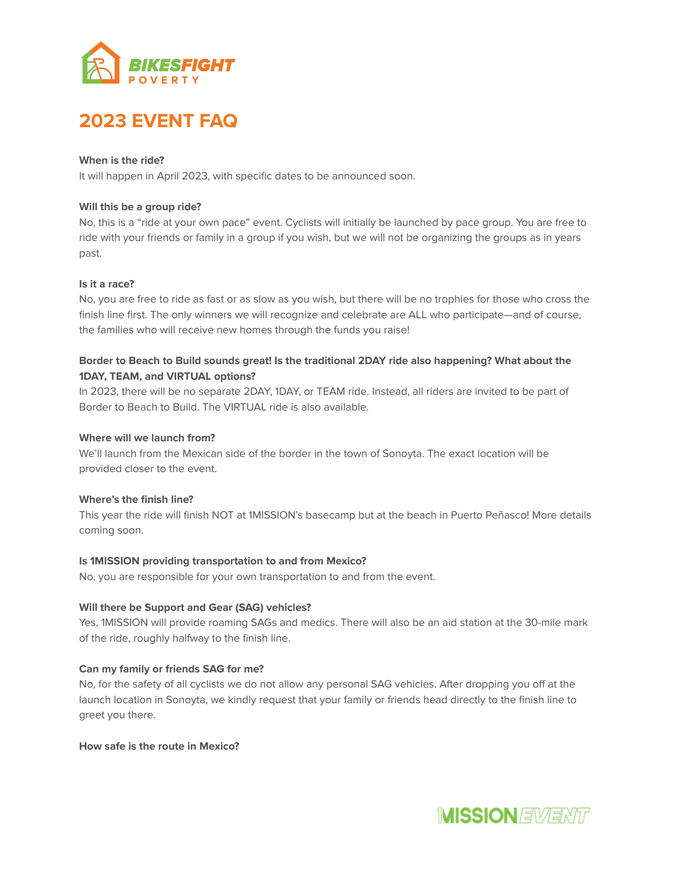

# **2023 EVENT FAQ**

## **When is the ride?**

It will happen in April 2023, with specific dates to be announced soon.

## **Will this be a group ride?**

No, this is a "ride at your own pace" event. Cyclists will initially be launched by pace group. You are free to ride with your friends or family in a group if you wish, but we will not be organizing the groups as in years past.

## **Is it a race?**

No, you are free to ride as fast or as slow as you wish, but there will be no trophies for those who cross the finish line first. The only winners we will recognize and celebrate are ALL who participate—and of course, the families who will receive new homes through the funds you raise!

## **Border to Beach to Build sounds great! Is the traditional 2DAY ride also happening? What about the 1DAY, TEAM, and VIRTUAL options?**

In 2023, there will be no separate 2DAY, 1DAY, or TEAM ride. Instead, all riders are invited to be part of Border to Beach to Build. The VIRTUAL ride is also available.

## **Where will we launch from?**

We'll launch from the Mexican side of the border in the town of Sonoyta. The exact location will be provided closer to the event.

## **Where's the finish line?**

This year the ride will finish NOT at 1MISSION's basecamp but at the beach in Puerto Peñasco! More details coming soon.

## **Is 1MISSION providing transportation to and from Mexico?**

No, you are responsible for your own transportation to and from the event.

## **Will there be Support and Gear (SAG) vehicles?**

Yes, 1MISSION will provide roaming SAGs and medics. There will also be an aid station at the 30-mile mark of the ride, roughly halfway to the finish line.

## **Can my family or friends SAG for me?**

No, for the safety of all cyclists we do not allow any personal SAG vehicles. After dropping you off at the launch location in Sonoyta, we kindly request that your family or friends head directly to the finish line to greet you there.

## **How safe is the route in Mexico?**

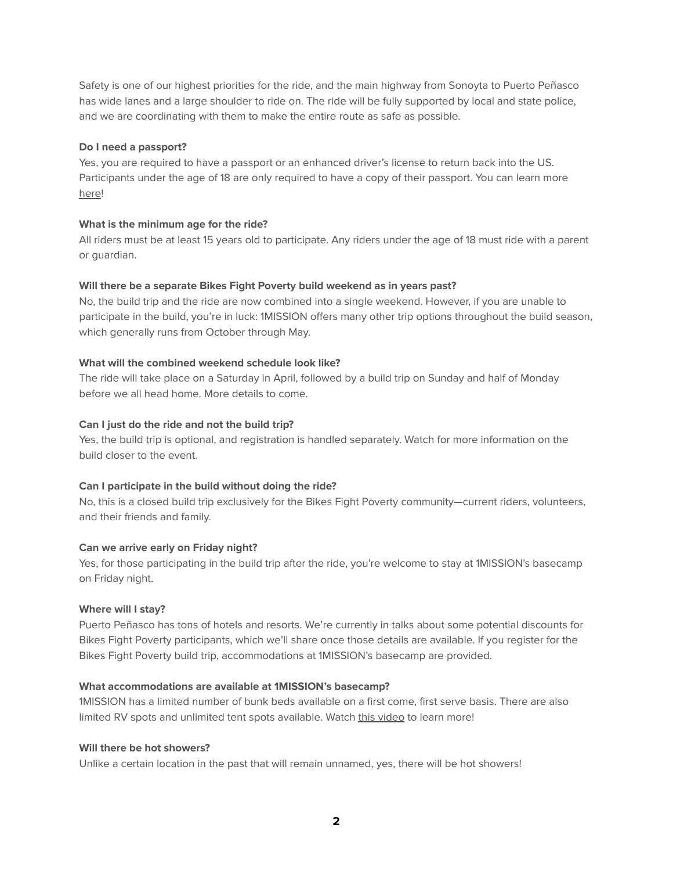Safety is one of our highest priorities for the ride, and the main highway from Sonoyta to Puerto Peñasco has wide lanes and a large shoulder to ride on. The ride will be fully supported by local and state police, and we are coordinating with them to make the entire route as safe as possible.

## **Do I need a passport?**

Yes, you are required to have a passport or an enhanced driver's license to return back into the US. Participants under the age of 18 are only required to have a copy of their passport. You can learn more [here](https://www.cbp.gov/travel/us-citizens/western-hemisphere-travel-initiative)!

## **What is the minimum age for the ride?**

All riders must be at least 15 years old to participate. Any riders under the age of 18 must ride with a parent or guardian.

## **Will there be a separate Bikes Fight Poverty build weekend as in years past?**

No, the build trip and the ride are now combined into a single weekend. However, if you are unable to participate in the build, you're in luck: 1MISSION offers many other trip options throughout the build season, which generally runs from October through May.

## **What will the combined weekend schedule look like?**

The ride will take place on a Saturday in April, followed by a build trip on Sunday and half of Monday before we all head home. More details to come.

## **Can I just do the ride and not the build trip?**

Yes, the build trip is optional, and registration is handled separately. Watch for more information on the build closer to the event.

## **Can I participate in the build without doing the ride?**

No, this is a closed build trip exclusively for the Bikes Fight Poverty community—current riders, volunteers, and their friends and family.

## **Can we arrive early on Friday night?**

Yes, for those participating in the build trip after the ride, you're welcome to stay at 1MISSION's basecamp on Friday night.

## **Where will I stay?**

Puerto Peñasco has tons of hotels and resorts. We're currently in talks about some potential discounts for Bikes Fight Poverty participants, which we'll share once those details are available. If you register for the Bikes Fight Poverty build trip, accommodations at 1MISSION's basecamp are provided.

## **What accommodations are available at 1MISSION's basecamp?**

1MISSION has a limited number of bunk beds available on a first come, first serve basis. There are also limited RV spots and unlimited tent spots available. Watch this [video](https://vimeo.com/8003837) to learn more!

## **Will there be hot showers?**

Unlike a certain location in the past that will remain unnamed, yes, there will be hot showers!